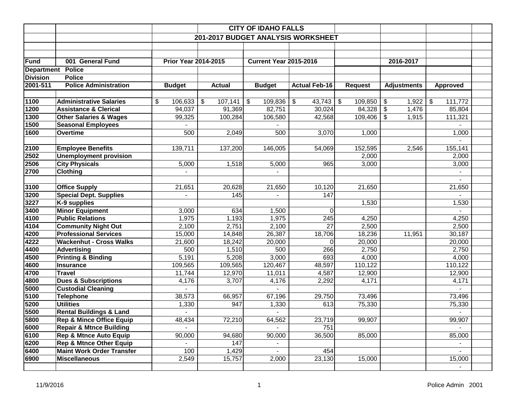|                   |                                                            |                             |                                    | <b>CITY OF IDAHO FALLS</b>    |                        |                 |                                  |                 |  |
|-------------------|------------------------------------------------------------|-----------------------------|------------------------------------|-------------------------------|------------------------|-----------------|----------------------------------|-----------------|--|
|                   |                                                            |                             | 201-2017 BUDGET ANALYSIS WORKSHEET |                               |                        |                 |                                  |                 |  |
|                   |                                                            |                             |                                    |                               |                        |                 |                                  |                 |  |
|                   |                                                            |                             |                                    |                               |                        |                 |                                  |                 |  |
| <b>Fund</b>       | 001 General Fund                                           | <b>Prior Year 2014-2015</b> |                                    | <b>Current Year 2015-2016</b> |                        |                 | 2016-2017                        |                 |  |
| <b>Department</b> | <b>Police</b>                                              |                             |                                    |                               |                        |                 |                                  |                 |  |
| <b>Division</b>   | <b>Police</b>                                              |                             |                                    |                               |                        |                 |                                  |                 |  |
| 2001-511          | <b>Police Administration</b>                               | <b>Budget</b>               | <b>Actual</b>                      | <b>Budget</b>                 | <b>Actual Feb-16</b>   | <b>Request</b>  | <b>Adjustments</b>               | <b>Approved</b> |  |
|                   |                                                            |                             |                                    |                               |                        |                 |                                  |                 |  |
| 1100              | <b>Administrative Salaries</b>                             | \$<br>106,633               | $\sqrt[6]{\frac{1}{2}}$<br>107,141 | 109,836<br>\$                 | \$<br>43,743           | \$<br>109,850   | \$<br>1,922                      | 111,772<br>\$   |  |
| 1200              | <b>Assistance &amp; Clerical</b>                           | 94,037                      | 91,369                             | 82,751                        | 30,024                 | 84,328          | $\sqrt[6]{\frac{1}{2}}$<br>1,476 | 85,804          |  |
| 1300              | <b>Other Salaries &amp; Wages</b>                          | 99,325                      | 100,284                            | 106,580                       | 42,568                 | 109,406         | $\mathsf{\$}$<br>1,915           | 111,321         |  |
| 1500              | <b>Seasonal Employees</b>                                  |                             |                                    |                               |                        |                 |                                  |                 |  |
| 1600              | Overtime                                                   | 500                         | 2,049                              | 500                           | 3,070                  | 1,000           |                                  | 1,000           |  |
|                   |                                                            |                             |                                    |                               |                        |                 |                                  |                 |  |
| 2100              | <b>Employee Benefits</b>                                   | 139,711                     | 137,200                            | 146,005                       | 54,069                 | 152,595         | 2,546                            | 155,141         |  |
| 2502              | <b>Unemployment provision</b>                              |                             |                                    |                               |                        | 2,000           |                                  | 2,000           |  |
| 2506              | <b>City Physicals</b>                                      | 5,000                       | 1,518                              | 5,000                         | 965                    | 3,000           |                                  | 3,000           |  |
| 2700              | <b>Clothing</b>                                            |                             |                                    | $\blacksquare$                |                        |                 |                                  |                 |  |
|                   |                                                            |                             |                                    |                               |                        |                 |                                  |                 |  |
| 3100              | <b>Office Supply</b>                                       | 21,651                      | 20,628                             | 21,650                        | 10,120                 | 21,650          |                                  | 21,650          |  |
| 3200              | <b>Special Dept. Supplies</b>                              |                             | 145                                |                               | 147                    |                 |                                  |                 |  |
| 3227              | K-9 supplies                                               |                             |                                    |                               |                        | 1,530           |                                  | 1,530           |  |
| 3400              | <b>Minor Equipment</b>                                     | 3,000                       | 634                                | 1,500                         | 0                      |                 |                                  |                 |  |
| 4100              | <b>Public Relations</b>                                    | 1,975                       | 1,193                              | 1,975                         | 245<br>$\overline{27}$ | 4,250           |                                  | 4,250           |  |
| 4104<br>4200      | <b>Community Night Out</b><br><b>Professional Services</b> | 2,100<br>15,000             | 2,751<br>14,848                    | 2,100                         | 18,706                 | 2,500<br>18,236 | 11,951                           | 2,500<br>30,187 |  |
| 4222              | <b>Wackenhut - Cross Walks</b>                             | 21,600                      | 18,242                             | 26,387<br>20,000              | 0                      | 20,000          |                                  | 20,000          |  |
| 4400              | <b>Advertising</b>                                         | 500                         | 1,510                              | 500                           | 266                    | 2,750           |                                  | 2,750           |  |
| 4500              | <b>Printing &amp; Binding</b>                              | 5,191                       | 5,208                              | 3,000                         | 693                    | 4,000           |                                  | 4,000           |  |
| 4600              | <b>Insurance</b>                                           | 109,565                     | 109,565                            | 120,467                       | 48,597                 | 110,122         |                                  | 110,122         |  |
| 4700              | <b>Travel</b>                                              | 11,744                      | 12,970                             | 11,011                        | 4,587                  | 12,900          |                                  | 12,900          |  |
| 4800              | <b>Dues &amp; Subscriptions</b>                            | 4,176                       | 3,707                              | 4,176                         | 2,292                  | 4,171           |                                  | 4,171           |  |
| 5000              | <b>Custodial Cleaning</b>                                  |                             |                                    |                               |                        |                 |                                  |                 |  |
| 5100              | <b>Telephone</b>                                           | 38,573                      | 66,957                             | 67,196                        | 29,750                 | 73,496          |                                  | 73,496          |  |
| 5200              | <b>Utilities</b>                                           | 1,330                       | 947                                | 1,330                         | 613                    | 75,330          |                                  | 75,330          |  |
| 5500              | <b>Rental Buildings &amp; Land</b>                         |                             |                                    |                               |                        |                 |                                  |                 |  |
| 5800              | <b>Rep &amp; Mince Office Equip</b>                        | 48,434                      | 72,210                             | 64,562                        | 23,719                 | 99,907          |                                  | 99,907          |  |
| 6000              | <b>Repair &amp; Mtnce Building</b>                         |                             |                                    | $\overline{a}$                | 751                    |                 |                                  | $\blacksquare$  |  |
| 6100              | <b>Rep &amp; Mtnce Auto Equip</b>                          | 90,000                      | 94,680                             | 90,000                        | 36,500                 | 85,000          |                                  | 85,000          |  |
| 6200              | <b>Rep &amp; Mtnce Other Equip</b>                         | $\blacksquare$              | 147                                | $\blacksquare$                |                        |                 |                                  | $\blacksquare$  |  |
| 6400              | <b>Maint Work Order Transfer</b>                           | 100                         | 1,429                              | $\blacksquare$                | 454                    |                 |                                  | $\blacksquare$  |  |
| 6900              | <b>Miscellaneous</b>                                       | 2,549                       | 15,757                             | 2,000                         | 23,130                 | 15,000          |                                  | 15,000          |  |
|                   |                                                            |                             |                                    |                               |                        |                 |                                  | $\blacksquare$  |  |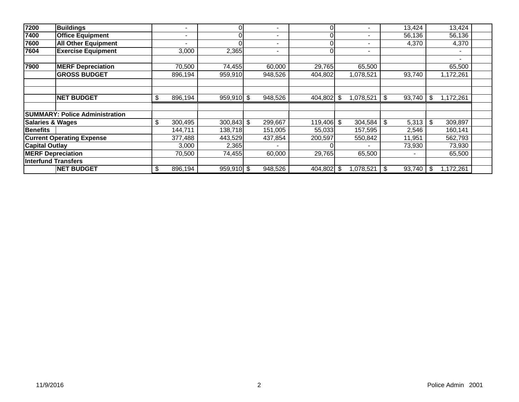| 7200                        | <b>Buildings</b>                      | $\blacksquare$           |              | 0              | $\blacksquare$ | ი          |      |           |      | 13,424                   |      | 13,424    |  |
|-----------------------------|---------------------------------------|--------------------------|--------------|----------------|----------------|------------|------|-----------|------|--------------------------|------|-----------|--|
| 7400                        | <b>Office Equipment</b>               | $\overline{\phantom{a}}$ |              | 0 <sub>1</sub> | $\blacksquare$ |            |      |           |      | 56,136                   |      | 56,136    |  |
| 7600                        | <b>All Other Equipment</b>            | $\blacksquare$           |              |                | $\blacksquare$ |            |      |           |      | 4,370                    |      | 4,370     |  |
| 7604                        | <b>Exercise Equipment</b>             | 3,000                    | 2,365        |                | $\blacksquare$ |            |      |           |      |                          |      |           |  |
|                             |                                       |                          |              |                |                |            |      |           |      |                          |      |           |  |
| 7900                        | <b>MERF Depreciation</b>              | 70,500                   | 74,455       |                | 60,000         | 29,765     |      | 65,500    |      |                          |      | 65,500    |  |
|                             | <b>GROSS BUDGET</b>                   | 896,194                  | 959,910      |                | 948,526        | 404,802    |      | 1,078,521 |      | 93,740                   |      | 1,172,261 |  |
|                             |                                       |                          |              |                |                |            |      |           |      |                          |      |           |  |
|                             |                                       |                          |              |                |                |            |      |           |      |                          |      |           |  |
|                             | <b>NET BUDGET</b>                     | \$<br>896,194            | $959,910$ \$ |                | 948,526        | 404,802    | -\$  | 1,078,521 | -\$  | 93,740                   | -\$  | 1,172,261 |  |
|                             |                                       |                          |              |                |                |            |      |           |      |                          |      |           |  |
|                             | <b>SUMMARY: Police Administration</b> |                          |              |                |                |            |      |           |      |                          |      |           |  |
| <b>Salaries &amp; Wages</b> |                                       | \$<br>300,495            | $300,843$ \$ |                | 299,667        | 119,406 \$ |      | 304,584   | -\$  | 5,313                    | \$   | 309,897   |  |
| <b>Benefits</b>             |                                       | 144,711                  | 138,718      |                | 151,005        | 55,033     |      | 157,595   |      | 2,546                    |      | 160,141   |  |
|                             | <b>Current Operating Expense</b>      | 377,488                  | 443,529      |                | 437,854        | 200,597    |      | 550,842   |      | 11,951                   |      | 562,793   |  |
| <b>Capital Outlay</b>       |                                       | 3,000                    | 2,365        |                |                |            |      |           |      | 73,930                   |      | 73,930    |  |
| <b>MERF Depreciation</b>    |                                       | 70,500                   | 74,455       |                | 60,000         | 29,765     |      | 65,500    |      | $\overline{\phantom{a}}$ |      | 65,500    |  |
| <b>Interfund Transfers</b>  |                                       |                          |              |                |                |            |      |           |      |                          |      |           |  |
|                             | <b>NET BUDGET</b>                     | \$<br>896,194            | 959,910 \$   |                | 948,526        | 404,802    | - \$ | 1,078,521 | - \$ | 93,740                   | - \$ | ,172,261  |  |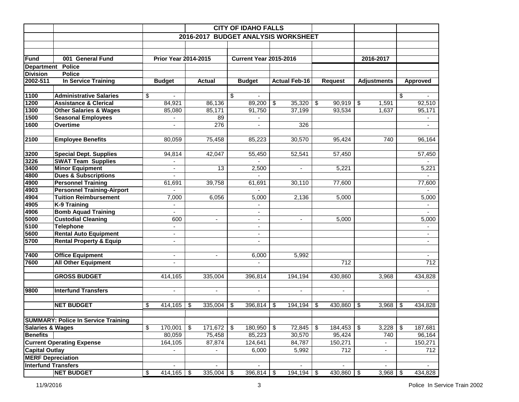|                                                |                                            |               |                             |                    |            | <b>CITY OF IDAHO FALLS</b>    |                                     |                |                    |                  |
|------------------------------------------------|--------------------------------------------|---------------|-----------------------------|--------------------|------------|-------------------------------|-------------------------------------|----------------|--------------------|------------------|
|                                                |                                            |               |                             |                    |            |                               | 2016-2017 BUDGET ANALYSIS WORKSHEET |                |                    |                  |
|                                                |                                            |               |                             |                    |            |                               |                                     |                |                    |                  |
|                                                |                                            |               |                             |                    |            |                               |                                     |                |                    |                  |
| <b>Fund</b>                                    | 001 General Fund                           |               | <b>Prior Year 2014-2015</b> |                    |            | <b>Current Year 2015-2016</b> |                                     |                | 2016-2017          |                  |
|                                                | Department Police                          |               |                             |                    |            |                               |                                     |                |                    |                  |
| <b>Division</b>                                | <b>Police</b>                              |               |                             |                    |            |                               |                                     |                |                    |                  |
| 2002-511                                       | In Service Training                        | <b>Budget</b> |                             | <b>Actual</b>      |            | <b>Budget</b>                 | <b>Actual Feb-16</b>                | <b>Request</b> | <b>Adjustments</b> | <b>Approved</b>  |
|                                                |                                            |               |                             |                    |            |                               |                                     |                |                    |                  |
| 1100                                           | <b>Administrative Salaries</b>             | \$            | $\blacksquare$              |                    | \$         | $\blacksquare$                |                                     |                |                    | \$               |
| 1200                                           | <b>Assistance &amp; Clerical</b>           |               | 84,921                      | 86,136             |            | 89,200                        | \$<br>35,320                        | \$<br>90,919   | \$<br>1,591        | 92,510           |
| 1300                                           | <b>Other Salaries &amp; Wages</b>          |               | 85,080                      | 85,171             |            | 91,750                        | 37,199                              | 93,534         | 1,637              | 95,171           |
| 1500                                           | <b>Seasonal Employees</b>                  |               |                             | 89                 |            |                               |                                     |                |                    |                  |
| 1600                                           | Overtime                                   |               |                             | 276                |            |                               | 326                                 |                |                    |                  |
|                                                |                                            |               |                             |                    |            |                               |                                     |                |                    |                  |
| 2100                                           | <b>Employee Benefits</b>                   |               | 80,059                      | 75,458             |            | 85,223                        | 30,570                              | 95,424         | 740                | 96,164           |
|                                                |                                            |               |                             |                    |            |                               |                                     |                |                    |                  |
| 3200                                           | <b>Special Dept. Supplies</b>              |               | 94,814                      | 42,047             |            | 55,450                        | 52,541                              | 57,450         |                    | 57,450           |
| 3226                                           | <b>SWAT Team Supplies</b>                  |               |                             |                    |            |                               |                                     |                |                    |                  |
| 3400                                           | <b>Minor Equipment</b>                     |               | $\blacksquare$              | 13                 |            | 2,500                         |                                     | 5,221          |                    | 5,221            |
| 4800                                           | <b>Dues &amp; Subscriptions</b>            |               | $\blacksquare$              |                    |            |                               |                                     |                |                    |                  |
| 4900                                           | <b>Personnel Training</b>                  |               | 61,691                      | 39,758             |            | 61,691                        | 30,110                              | 77,600         |                    | 77,600           |
| 4903                                           | <b>Personnel Training-Airport</b>          |               |                             |                    |            |                               |                                     |                |                    |                  |
| 4904                                           | <b>Tuition Reimbursement</b>               |               | 7,000                       | 6,056              |            | 5,000                         | 2,136                               | 5,000          |                    | 5,000            |
| 4905                                           | <b>K-9 Training</b>                        |               | ÷                           |                    |            |                               |                                     |                |                    |                  |
| 4906                                           | <b>Bomb Aquad Training</b>                 |               |                             |                    |            |                               |                                     |                |                    |                  |
| 5000                                           | <b>Custodial Cleaning</b>                  |               | 600                         | ÷.                 |            | $\blacksquare$                | $\mathbf{r}$                        | 5,000          |                    | 5,000            |
| 5100                                           | <b>Telephone</b>                           |               | $\blacksquare$              |                    |            | $\overline{\phantom{a}}$      |                                     |                |                    | $\blacksquare$   |
| 5600                                           | <b>Rental Auto Equipment</b>               |               | $\overline{\phantom{a}}$    |                    |            | $\blacksquare$                |                                     |                |                    | $\sim$           |
| 5700                                           | <b>Rental Property &amp; Equip</b>         |               | $\blacksquare$              |                    |            |                               |                                     |                |                    |                  |
|                                                |                                            |               |                             |                    |            |                               |                                     |                |                    |                  |
| 7400                                           | <b>Office Equipment</b>                    |               | $\blacksquare$              |                    |            | 6,000                         | 5,992                               |                |                    |                  |
| 7600                                           | <b>All Other Equipment</b>                 |               | $\overline{a}$              |                    |            |                               |                                     | 712            |                    | $\overline{712}$ |
|                                                |                                            |               |                             |                    |            |                               |                                     |                |                    |                  |
|                                                | <b>GROSS BUDGET</b>                        |               | 414,165                     | 335,004            |            | 396,814                       | 194,194                             | 430,860        | 3,968              | 434,828          |
| 9800                                           | <b>Interfund Transfers</b>                 |               | $\blacksquare$              |                    |            |                               |                                     |                |                    |                  |
|                                                |                                            |               |                             | $\blacksquare$     |            | $\overline{\phantom{a}}$      | $\overline{\phantom{a}}$            | $\blacksquare$ |                    |                  |
|                                                | <b>NET BUDGET</b>                          | \$            | 414,165                     | \$<br>335,004      | \$         | 396,814                       | \$<br>194,194                       | \$<br>430,860  | -\$<br>3,968       | \$<br>434,828    |
|                                                |                                            |               |                             |                    |            |                               |                                     |                |                    |                  |
|                                                |                                            |               |                             |                    |            |                               |                                     |                |                    |                  |
|                                                | <b>SUMMARY: Police In Service Training</b> |               |                             |                    |            |                               | \$                                  | 184,453        | $\sqrt[6]{3}$      |                  |
| <b>Salaries &amp; Wages</b><br><b>Benefits</b> |                                            | \$            | 170,001<br>80,059           | \$<br>171,672      | $\sqrt{3}$ | 180,950                       | $72,845$ \\$                        | 95,424         | 3,228<br>740       | \$<br>187,681    |
|                                                |                                            |               |                             | 75,458             |            | 85,223                        | 30,570                              |                |                    | 96,164           |
|                                                | <b>Current Operating Expense</b>           |               | 164,105                     | 87,874             |            | 124,641                       | 84,787                              | 150,271        |                    | 150,271          |
| <b>Capital Outlay</b>                          |                                            |               |                             |                    |            | 6,000                         | 5,992                               | 712            |                    | 712              |
| <b>MERF Depreciation</b>                       |                                            |               |                             |                    |            |                               |                                     |                |                    |                  |
| <b>Interfund Transfers</b>                     |                                            |               |                             |                    |            |                               |                                     |                |                    |                  |
|                                                | <b>NET BUDGET</b>                          | \$            | 414,165                     | \$<br>$335,004$ \$ |            | $396,814$ \$                  | $194,194$ \$                        | $430,860$ \$   | 3,968              | \$<br>434,828    |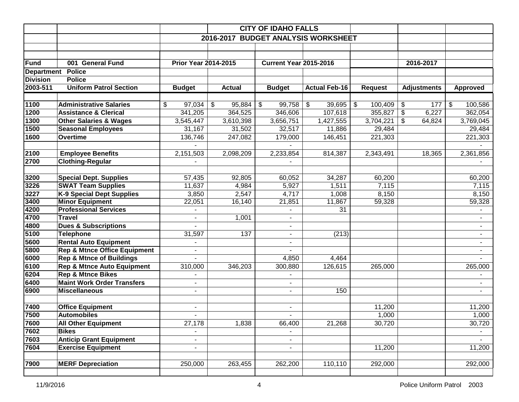|                   |                                         |                             |               | <b>CITY OF IDAHO FALLS</b>          |                                     |                                       |                    |                 |
|-------------------|-----------------------------------------|-----------------------------|---------------|-------------------------------------|-------------------------------------|---------------------------------------|--------------------|-----------------|
|                   |                                         |                             |               |                                     | 2016-2017 BUDGET ANALYSIS WORKSHEET |                                       |                    |                 |
|                   |                                         |                             |               |                                     |                                     |                                       |                    |                 |
|                   |                                         |                             |               |                                     |                                     |                                       |                    |                 |
| Fund              | 001 General Fund                        | <b>Prior Year 2014-2015</b> |               | <b>Current Year 2015-2016</b>       |                                     |                                       | 2016-2017          |                 |
| <b>Department</b> | <b>Police</b>                           |                             |               |                                     |                                     |                                       |                    |                 |
| <b>Division</b>   | <b>Police</b>                           |                             |               |                                     |                                     |                                       |                    |                 |
| 2003-511          | <b>Uniform Patrol Section</b>           | <b>Budget</b>               | <b>Actual</b> | <b>Budget</b>                       | <b>Actual Feb-16</b>                | <b>Request</b>                        | <b>Adjustments</b> | <b>Approved</b> |
|                   |                                         |                             |               |                                     |                                     |                                       |                    |                 |
| 1100              | <b>Administrative Salaries</b>          | \$<br>97,034                | \$<br>95,884  | $\boldsymbol{\mathsf{S}}$<br>99,758 | \$<br>39,695                        | $\boldsymbol{\mathsf{\$}}$<br>100,409 | \$<br>177          | \$<br>100,586   |
| 1200              | <b>Assistance &amp; Clerical</b>        | 341,205                     | 364,525       | 346,606                             | 107,618                             | 355,827                               | \$<br>6,227        | 362,054         |
| 1300              | <b>Other Salaries &amp; Wages</b>       | 3,545,447                   | 3,610,398     | 3,656,751                           | 1,427,555                           | 3,704,221                             | \$<br>64,824       | 3,769,045       |
| 1500              | <b>Seasonal Employees</b>               | 31,167                      | 31,502        | 32,517                              | 11,886                              | 29,484                                |                    | 29,484          |
| 1600              | Overtime                                | 136,746                     | 247,082       | 179,000                             | 146,451                             | 221,303                               |                    | 221,303         |
|                   |                                         |                             |               |                                     |                                     |                                       |                    |                 |
| 2100              | <b>Employee Benefits</b>                | 2,151,503                   | 2,098,209     | 2,233,854                           | 814,387                             | 2,343,491                             | 18,365             | 2,361,856       |
| 2700              | <b>Clothing-Regular</b>                 |                             |               |                                     |                                     |                                       |                    |                 |
|                   |                                         |                             |               |                                     |                                     |                                       |                    |                 |
| 3200              | <b>Special Dept. Supplies</b>           | 57,435                      | 92,805        | 60,052                              | 34,287                              | 60,200                                |                    | 60,200          |
| 3226              | <b>SWAT Team Supplies</b>               | 11,637                      | 4,984         | 5,927                               | 1,511                               | 7,115                                 |                    | 7,115           |
| 3227              | <b>K-9 Special Dept Supplies</b>        | 3,850                       | 2,547         | 4,717                               | 1,008                               | 8,150                                 |                    | 8,150           |
| 3400              | <b>Minor Equipment</b>                  | 22,051                      | 16,140        | 21,851                              | 11,867                              | 59,328                                |                    | 59,328          |
| 4200              | <b>Professional Services</b>            |                             |               |                                     | 31                                  |                                       |                    |                 |
| 4700              | <b>Travel</b>                           |                             | 1,001         | $\blacksquare$                      |                                     |                                       |                    |                 |
| 4800              | <b>Dues &amp; Subscriptions</b>         |                             |               | $\blacksquare$                      |                                     |                                       |                    |                 |
| 5100              | <b>Telephone</b>                        | 31,597                      | 137           | $\blacksquare$                      | (213)                               |                                       |                    |                 |
| 5600              | <b>Rental Auto Equipment</b>            |                             |               |                                     |                                     |                                       |                    |                 |
| 5800              | <b>Rep &amp; Mtnce Office Equipment</b> |                             |               |                                     |                                     |                                       |                    |                 |
| 6000              | <b>Rep &amp; Mtnce of Buildings</b>     |                             |               | 4,850                               | 4,464                               |                                       |                    |                 |
| 6100              | <b>Rep &amp; Mtnce Auto Equipment</b>   | 310,000                     | 346,203       | 300,880                             | 126,615                             | 265,000                               |                    | 265,000         |
| 6204              | <b>Rep &amp; Mtnce Bikes</b>            |                             |               |                                     |                                     |                                       |                    |                 |
| 6400              | <b>Maint Work Order Transfers</b>       |                             |               |                                     |                                     |                                       |                    |                 |
| 6900              | <b>Miscellaneous</b>                    | $\blacksquare$              |               | $\blacksquare$                      | 150                                 |                                       |                    |                 |
|                   |                                         |                             |               |                                     |                                     |                                       |                    |                 |
| 7400              | <b>Office Equipment</b>                 | ٠                           |               | $\blacksquare$                      |                                     | 11,200                                |                    | 11,200          |
| 7500              | <b>Automobiles</b>                      |                             |               |                                     |                                     | 1,000                                 |                    | 1,000           |
| 7600              | <b>All Other Equipment</b>              | 27,178                      | 1,838         | 66,400                              | 21,268                              | 30,720                                |                    | 30,720          |
| 7602              | <b>Bikes</b>                            |                             |               |                                     |                                     |                                       |                    |                 |
| 7603              | <b>Anticip Grant Equipment</b>          | $\overline{\phantom{a}}$    |               | $\qquad \qquad \blacksquare$        |                                     |                                       |                    | $\blacksquare$  |
| 7604              | <b>Exercise Equipment</b>               |                             |               | $\overline{\phantom{0}}$            |                                     | 11,200                                |                    | 11,200          |
|                   |                                         |                             |               |                                     |                                     |                                       |                    |                 |
| 7900              | <b>MERF Depreciation</b>                | 250,000                     | 263,455       | 262,200                             | 110,110                             | 292,000                               |                    | 292,000         |
|                   |                                         |                             |               |                                     |                                     |                                       |                    |                 |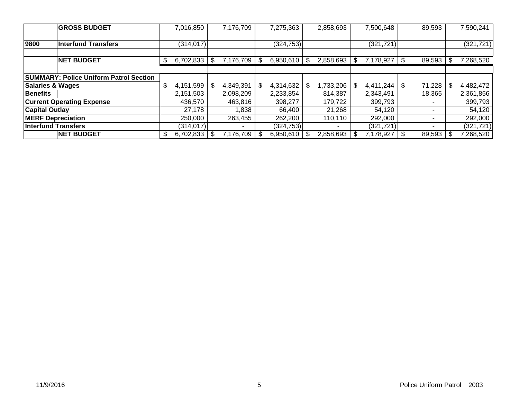|                             | <b>GROSS BUDGET</b>                           | 7,016,850       | 7,176,709    | 7,275,363  | 2,858,693       | 7,500,648  |     | 89,593 | 7,590,241  |
|-----------------------------|-----------------------------------------------|-----------------|--------------|------------|-----------------|------------|-----|--------|------------|
|                             |                                               |                 |              |            |                 |            |     |        |            |
| 9800                        | <b>Interfund Transfers</b>                    | (314, 017)      |              | (324, 753) |                 | (321, 721) |     |        | (321, 721) |
|                             |                                               |                 |              |            |                 |            |     |        |            |
|                             | <b>NET BUDGET</b>                             | \$<br>6,702,833 | 7,176,709丨\$ | 6,950,610  | \$<br>2,858,693 | 7,178,927  | -\$ | 89,593 | 7,268,520  |
|                             |                                               |                 |              |            |                 |            |     |        |            |
|                             | <b>SUMMARY: Police Uniform Patrol Section</b> |                 |              |            |                 |            |     |        |            |
| <b>Salaries &amp; Wages</b> |                                               | \$<br>4,151,599 | 4,349,391    | 4,314,632  | \$<br>,733,206  | 4,411,244  |     | 71,228 | 4,482,472  |
| <b>Benefits</b>             |                                               | 2,151,503       | 2,098,209    | 2,233,854  | 814,387         | 2,343,491  |     | 18,365 | 2,361,856  |
|                             | <b>Current Operating Expense</b>              | 436,570         | 463,816      | 398,277    | 179,722         | 399,793    |     |        | 399,793    |
| <b>Capital Outlay</b>       |                                               | 27,178          | 1,838        | 66.400     | 21,268          | 54.120     |     |        | 54,120     |
| <b>MERF Depreciation</b>    |                                               | 250,000         | 263,455      | 262,200    | 110,110         | 292,000    |     | -      | 292,000    |
| <b>Interfund Transfers</b>  |                                               | (314, 017)      |              | (324, 753) | -               | (321, 721) |     |        | (321, 721) |
|                             | <b>NET BUDGET</b>                             | \$<br>6,702,833 | 7,176,709丨\$ | 6,950,610  | \$<br>2,858,693 | 7,178,927  |     | 89,593 | 7,268,520  |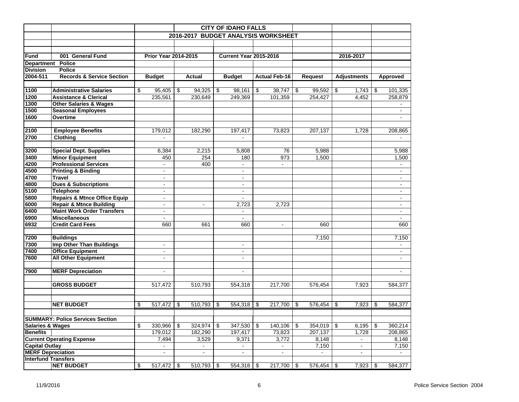|                            |                                         |                             |                  |     | <b>CITY OF IDAHO FALLS</b>    |                         |                                     |                |                    |                |
|----------------------------|-----------------------------------------|-----------------------------|------------------|-----|-------------------------------|-------------------------|-------------------------------------|----------------|--------------------|----------------|
|                            |                                         |                             |                  |     |                               |                         | 2016-2017 BUDGET ANALYSIS WORKSHEET |                |                    |                |
|                            |                                         |                             |                  |     |                               |                         |                                     |                |                    |                |
|                            |                                         |                             |                  |     |                               |                         |                                     |                |                    |                |
| <b>Fund</b>                | 001 General Fund                        | <b>Prior Year 2014-2015</b> |                  |     | <b>Current Year 2015-2016</b> |                         |                                     |                | 2016-2017          |                |
| <b>Department</b>          | <b>Police</b>                           |                             |                  |     |                               |                         |                                     |                |                    |                |
| <b>Division</b>            | <b>Police</b>                           |                             |                  |     |                               |                         |                                     |                |                    |                |
| 2004-511                   | <b>Records &amp; Service Section</b>    | <b>Budget</b>               | Actual           |     | <b>Budget</b>                 |                         | <b>Actual Feb-16</b>                | <b>Request</b> | <b>Adjustments</b> | Approved       |
|                            |                                         |                             |                  |     |                               |                         |                                     |                |                    |                |
| 1100                       | <b>Administrative Salaries</b>          | \$<br>95,405                | \$<br>94,325     | \$  | 98,161                        | \$                      | 38,747                              | \$<br>99,592   | \$<br>1,743        | \$<br>101,335  |
| 1200                       | <b>Assistance &amp; Clerical</b>        | 235,561                     | 230,649          |     | 249,369                       |                         | 101,359                             | 254,427        | 4,452              | 258,879        |
| 1300                       | <b>Other Salaries &amp; Wages</b>       |                             |                  |     |                               |                         |                                     |                |                    |                |
| 1500                       | <b>Seasonal Employees</b>               |                             |                  |     |                               |                         |                                     |                |                    | $\sim$         |
| 1600                       | Overtime                                |                             |                  |     |                               |                         |                                     |                |                    |                |
|                            |                                         |                             |                  |     |                               |                         |                                     |                |                    |                |
| 2100                       | <b>Employee Benefits</b>                | 179,012                     | 182,290          |     | 197,417                       |                         | 73,823                              | 207,137        | 1,728              | 208,865        |
| 2700                       | Clothing                                |                             |                  |     |                               |                         |                                     |                |                    |                |
|                            |                                         |                             |                  |     |                               |                         |                                     |                |                    |                |
| 3200                       | <b>Special Dept. Supplies</b>           | 6,384                       | 2,215            |     | 5,808                         |                         | 76                                  | 5,988          |                    | 5,988          |
| 3400                       | <b>Minor Equipment</b>                  | 450                         | 254              |     | 180                           |                         | 973                                 | 1,500          |                    | 1,500          |
| 4200                       | <b>Professional Services</b>            |                             | 400              |     |                               |                         |                                     |                |                    |                |
| 4500                       | <b>Printing &amp; Binding</b>           | $\blacksquare$              |                  |     | $\blacksquare$                |                         |                                     |                |                    | $\blacksquare$ |
| 4700                       | <b>Travel</b>                           | $\blacksquare$              |                  |     | $\blacksquare$                |                         |                                     |                |                    | $\blacksquare$ |
| 4800                       | <b>Dues &amp; Subscriptions</b>         | $\blacksquare$              |                  |     | $\blacksquare$                |                         |                                     |                |                    | $\blacksquare$ |
| 5100                       | <b>Telephone</b>                        | $\blacksquare$              |                  |     | $\blacksquare$                |                         |                                     |                |                    | $\blacksquare$ |
| 5800                       | <b>Repairs &amp; Mtnce Office Equip</b> | $\blacksquare$              |                  |     |                               |                         |                                     |                |                    | $\blacksquare$ |
| 6000                       | <b>Repair &amp; Mtnce Building</b>      | $\blacksquare$              | $\blacksquare$   |     | 2,723                         |                         | 2,723                               |                |                    | $\sim$         |
| 6400                       | <b>Maint Work Order Transfers</b>       | $\blacksquare$              |                  |     | $\blacksquare$                |                         |                                     |                |                    | $\blacksquare$ |
| 6900                       | <b>Miscellaneous</b>                    | $\blacksquare$              |                  |     | $\overline{a}$                |                         |                                     |                |                    |                |
| 6932                       | <b>Credit Card Fees</b>                 | 660                         | 661              |     | 660                           |                         | $\blacksquare$                      | 660            |                    | 660            |
| 7200                       | <b>Buildings</b>                        |                             |                  |     |                               |                         |                                     | 7,150          |                    | 7,150          |
| 7300                       | <b>Imp Other Than Buildings</b>         | $\blacksquare$              |                  |     | $\blacksquare$                |                         |                                     |                |                    | $\sim$         |
| 7400                       | <b>Office Equipment</b>                 | $\blacksquare$              |                  |     | $\overline{\phantom{a}}$      |                         |                                     |                |                    | $\blacksquare$ |
| 7600                       | <b>All Other Equipment</b>              | $\sim$                      |                  |     | $\blacksquare$                |                         |                                     |                |                    | $\sim$         |
|                            |                                         |                             |                  |     |                               |                         |                                     |                |                    |                |
| 7900                       | <b>MERF Depreciation</b>                | $\blacksquare$              |                  |     | $\blacksquare$                |                         |                                     |                |                    | $\blacksquare$ |
|                            |                                         |                             |                  |     |                               |                         |                                     |                |                    |                |
|                            | <b>GROSS BUDGET</b>                     | 517,472                     | 510,793          |     | 554,318                       |                         | 217,700                             | 576,454        | 7,923              | 584,377        |
|                            |                                         |                             |                  |     |                               |                         |                                     |                |                    |                |
|                            |                                         |                             |                  |     |                               |                         |                                     |                |                    |                |
|                            | <b>NET BUDGET</b>                       | \$<br>517,472               | \$<br>510,793 \$ |     | 554,318 \$                    |                         | 217,700                             | \$<br>576,454  | \$<br>7,923        | \$<br>584,377  |
|                            |                                         |                             |                  |     |                               |                         |                                     |                |                    |                |
|                            | <b>SUMMARY: Police Services Section</b> |                             |                  |     |                               |                         |                                     |                |                    |                |
| Salaries & Wages           |                                         | \$<br>330,966               | \$<br>324,974    | -\$ | 347,530                       | $\overline{\mathbf{3}}$ | 140,106                             | \$<br>354,019  | \$<br>6,195        | \$<br>360,214  |
| <b>Benefits</b>            |                                         | 179,012                     | 182,290          |     | 197,417                       |                         | 73,823                              | 207,137        | 1,728              | 208,865        |
|                            | <b>Current Operating Expense</b>        | 7,494                       | 3,529            |     | 9,371                         |                         | 3,772                               | 8,148          | $\blacksquare$     | 8,148          |
| <b>Capital Outlay</b>      |                                         |                             |                  |     |                               |                         |                                     | 7,150          |                    | 7,150          |
| <b>MERF Depreciation</b>   |                                         | $\blacksquare$              | $\blacksquare$   |     | $\blacksquare$                |                         | $\blacksquare$                      | $\sim$         | $\blacksquare$     |                |
| <b>Interfund Transfers</b> |                                         |                             |                  |     |                               |                         |                                     |                |                    |                |
|                            | <b>NET BUDGET</b>                       | \$<br>517,472               | \$<br>510,793 \$ |     | $554,318$ \$                  |                         | 217,700 \$                          | 576,454        | \$<br>7,923        | \$<br>584,377  |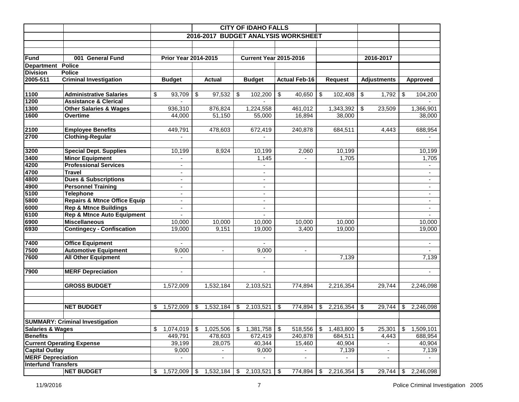|                             |                                                             |                                  |                            | <b>CITY OF IDAHO FALLS</b>       |                                     |                                 |                          |                          |
|-----------------------------|-------------------------------------------------------------|----------------------------------|----------------------------|----------------------------------|-------------------------------------|---------------------------------|--------------------------|--------------------------|
|                             |                                                             |                                  |                            |                                  | 2016-2017 BUDGET ANALYSIS WORKSHEET |                                 |                          |                          |
|                             |                                                             |                                  |                            |                                  |                                     |                                 |                          |                          |
|                             |                                                             |                                  |                            |                                  |                                     |                                 |                          |                          |
| <b>Fund</b>                 | 001 General Fund                                            | <b>Prior Year 2014-2015</b>      |                            | <b>Current Year 2015-2016</b>    |                                     |                                 | 2016-2017                |                          |
| <b>Department</b>           | Police                                                      |                                  |                            |                                  |                                     |                                 |                          |                          |
| <b>Division</b>             | <b>Police</b>                                               |                                  |                            |                                  |                                     |                                 |                          |                          |
| 2005-511                    | <b>Criminal Investigation</b>                               | <b>Budget</b>                    | <b>Actual</b>              | <b>Budget</b>                    | <b>Actual Feb-16</b>                | <b>Request</b>                  | <b>Adjustments</b>       | <b>Approved</b>          |
|                             |                                                             |                                  |                            |                                  |                                     |                                 |                          |                          |
| 1100                        | <b>Administrative Salaries</b>                              | \$<br>93,709                     | \$<br>97,532               | \$<br>102,200                    | \$<br>40,650                        | \$<br>102,408                   | \$<br>1,792              | \$<br>104,200            |
| 1200                        | <b>Assistance &amp; Clerical</b>                            |                                  |                            |                                  |                                     |                                 |                          |                          |
| 1300                        | <b>Other Salaries &amp; Wages</b>                           | 936,310                          | 876,824                    | 1,224,558                        | 461,012                             | 1,343,392                       | \$<br>23,509             | 1,366,901                |
| 1600                        | Overtime                                                    | 44,000                           | 51,150                     | 55,000                           | 16,894                              | 38,000                          |                          | 38,000                   |
|                             |                                                             |                                  |                            |                                  |                                     |                                 |                          |                          |
| 2100                        | <b>Employee Benefits</b>                                    | 449,791                          | 478,603                    | 672,419                          | 240,878                             | 684,511                         | 4,443                    | 688,954                  |
| 2700                        | <b>Clothing-Regular</b>                                     |                                  |                            |                                  |                                     |                                 |                          |                          |
|                             |                                                             |                                  |                            |                                  |                                     |                                 |                          |                          |
| 3200                        | <b>Special Dept. Supplies</b>                               | 10,199                           | 8,924                      | 10,199                           | 2,060                               | 10,199                          |                          | 10,199                   |
| 3400                        | <b>Minor Equipment</b>                                      | $\blacksquare$                   |                            | 1,145                            | $\overline{\phantom{a}}$            | 1,705                           |                          | 1,705                    |
| 4200                        | <b>Professional Services</b>                                |                                  |                            |                                  |                                     |                                 |                          |                          |
| 4700                        | <b>Travel</b>                                               |                                  |                            |                                  |                                     |                                 |                          |                          |
| 4800                        | <b>Dues &amp; Subscriptions</b>                             | $\blacksquare$                   |                            | $\sim$                           |                                     |                                 |                          | $\overline{\phantom{a}}$ |
| 4900                        | <b>Personnel Training</b>                                   | ۰                                |                            | $\overline{\phantom{a}}$         |                                     |                                 |                          |                          |
| 5100                        | <b>Telephone</b><br><b>Repairs &amp; Mtnce Office Equip</b> | $\overline{\phantom{a}}$         |                            | $\blacksquare$<br>$\overline{a}$ |                                     |                                 |                          | $\overline{\phantom{a}}$ |
| 5800<br>6000                | <b>Rep &amp; Mtnce Buildings</b>                            | $\blacksquare$<br>$\blacksquare$ |                            | $\overline{a}$                   |                                     |                                 |                          | $\blacksquare$           |
| 6100                        | <b>Rep &amp; Mtnce Auto Equipment</b>                       | $\overline{\phantom{a}}$         |                            | $\sim$                           |                                     |                                 |                          | $\sim$                   |
| 6900                        | <b>Miscellaneous</b>                                        | 10,000                           | 10,000                     | 10,000                           | 10,000                              | 10,000                          |                          | 10,000                   |
| 6930                        | <b>Contingecy - Confiscation</b>                            | 19,000                           | 9,151                      | 19,000                           | 3,400                               | 19,000                          |                          | 19,000                   |
|                             |                                                             |                                  |                            |                                  |                                     |                                 |                          |                          |
| 7400                        | <b>Office Equipment</b>                                     |                                  |                            |                                  |                                     |                                 |                          |                          |
| 7500                        | <b>Automotive Equipment</b>                                 | 9,000                            | $\blacksquare$             | 9,000                            | $\overline{\phantom{a}}$            |                                 |                          |                          |
| 7600                        | <b>All Other Equipment</b>                                  |                                  |                            |                                  |                                     | 7,139                           |                          | 7,139                    |
|                             |                                                             |                                  |                            |                                  |                                     |                                 |                          |                          |
| 7900                        | <b>MERF Depreciation</b>                                    | $\blacksquare$                   |                            | $\overline{a}$                   |                                     |                                 |                          |                          |
|                             |                                                             |                                  |                            |                                  |                                     |                                 |                          |                          |
|                             | <b>GROSS BUDGET</b>                                         | 1,572,009                        | 1,532,184                  | 2,103,521                        | 774,894                             | 2,216,354                       | 29,744                   | 2,246,098                |
|                             |                                                             |                                  |                            |                                  |                                     |                                 |                          |                          |
|                             |                                                             |                                  |                            |                                  |                                     |                                 |                          |                          |
|                             | <b>NET BUDGET</b>                                           | 1,572,009<br>\$                  | 1,532,184<br>\$            | 2,103,521<br>\$                  | 774,894<br>\$                       | 2,216,354<br>\$                 | 29,744<br>\$             | 2,246,098<br>\$          |
|                             |                                                             |                                  |                            |                                  |                                     |                                 |                          |                          |
|                             | <b>SUMMARY: Criminal Investigation</b>                      |                                  |                            |                                  |                                     |                                 |                          |                          |
| <b>Salaries &amp; Wages</b> |                                                             | \$<br>1,074,019                  | $\frac{1}{2}$<br>1,025,506 | \$<br>1,381,758                  | \$<br>518,556                       | $1,483,800$ \$<br>$\sqrt[6]{2}$ | 25,301                   | \$<br>1,509,101          |
| <b>Benefits</b>             |                                                             | 449,791                          | 478,603                    | 672,419                          | 240,878                             | 684,511                         | 4,443                    | 688,954                  |
|                             | <b>Current Operating Expense</b>                            | 39,199                           | 28,075                     | 40,344                           | 15,460                              | 40,904                          | $\overline{\phantom{a}}$ | 40,904                   |
| <b>Capital Outlay</b>       |                                                             | 9,000                            |                            | 9,000                            |                                     | 7,139                           |                          | 7,139                    |
|                             | <b>MERF Depreciation</b>                                    |                                  |                            |                                  |                                     |                                 |                          |                          |
| <b>Interfund Transfers</b>  |                                                             |                                  |                            |                                  |                                     |                                 |                          |                          |
|                             | <b>NET BUDGET</b>                                           | 1,572,009<br>\$                  | 1,532,184<br>S.            | 2,103,521<br>- \$                | 774,894<br>- \$                     | \$<br>$2,216,354$ \$            | 29,744                   | 2,246,098<br>S.          |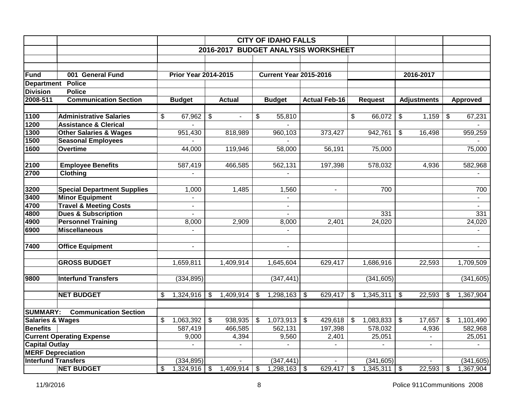|                             |                                    |                             |                      |               | <b>CITY OF IDAHO FALLS</b>          |                         |                      |                          |                    |                          |
|-----------------------------|------------------------------------|-----------------------------|----------------------|---------------|-------------------------------------|-------------------------|----------------------|--------------------------|--------------------|--------------------------|
|                             |                                    |                             |                      |               | 2016-2017 BUDGET ANALYSIS WORKSHEET |                         |                      |                          |                    |                          |
|                             |                                    |                             |                      |               |                                     |                         |                      |                          |                    |                          |
|                             |                                    |                             |                      |               |                                     |                         |                      |                          |                    |                          |
| Fund                        | 001 General Fund                   | <b>Prior Year 2014-2015</b> |                      |               | <b>Current Year 2015-2016</b>       |                         |                      |                          | 2016-2017          |                          |
|                             | Department Police                  |                             |                      |               |                                     |                         |                      |                          |                    |                          |
| <b>Division</b>             | <b>Police</b>                      |                             |                      |               |                                     |                         |                      |                          |                    |                          |
| 2008-511                    | <b>Communication Section</b>       | <b>Budget</b>               | <b>Actual</b>        |               | <b>Budget</b>                       |                         | <b>Actual Feb-16</b> | <b>Request</b>           | <b>Adjustments</b> | <b>Approved</b>          |
|                             |                                    |                             |                      |               |                                     |                         |                      |                          |                    |                          |
| 1100                        | <b>Administrative Salaries</b>     | \$<br>67,962                | \$<br>$\blacksquare$ | \$            | 55,810                              |                         |                      | \$<br>66,072             | \$<br>1,159        | \$<br>67,231             |
| 1200                        | <b>Assistance &amp; Clerical</b>   |                             |                      |               |                                     |                         |                      |                          |                    |                          |
| 1300                        | <b>Other Salaries &amp; Wages</b>  | 951,430                     | 818,989              |               | 960,103                             |                         | 373,427              | 942,761                  | \$<br>16,498       | 959,259                  |
| 1500                        | <b>Seasonal Employees</b>          |                             |                      |               |                                     |                         |                      |                          |                    |                          |
| 1600                        | <b>Overtime</b>                    | 44,000                      | 119,946              |               | 58,000                              |                         | 56,191               | 75,000                   |                    | 75,000                   |
| 2100                        | <b>Employee Benefits</b>           | 587,419                     | 466,585              |               | 562,131                             |                         | 197,398              | 578,032                  | 4,936              | 582,968                  |
| 2700                        | Clothing                           | $\blacksquare$              |                      |               | $\overline{a}$                      |                         |                      |                          |                    |                          |
|                             |                                    |                             |                      |               |                                     |                         |                      |                          |                    |                          |
| 3200                        | <b>Special Department Supplies</b> | 1,000                       | 1,485                |               | 1,560                               |                         | $\blacksquare$       | 700                      |                    | 700                      |
| 3400                        | <b>Minor Equipment</b>             |                             |                      |               | $\blacksquare$                      |                         |                      |                          |                    | $\overline{\phantom{a}}$ |
| 4700                        | <b>Travel &amp; Meeting Costs</b>  |                             |                      |               |                                     |                         |                      |                          |                    |                          |
| 4800                        | <b>Dues &amp; Subscription</b>     | $\blacksquare$              |                      |               | $\blacksquare$                      |                         |                      | 331                      |                    | 331                      |
| 4900                        | <b>Personnel Training</b>          | 8,000                       | 2,909                |               | 8,000                               |                         | 2,401                | 24,020                   |                    | 24,020                   |
| 6900                        | <b>Miscellaneous</b>               | $\overline{a}$              |                      |               | $\overline{a}$                      |                         |                      |                          |                    | $\blacksquare$           |
|                             |                                    |                             |                      |               |                                     |                         |                      |                          |                    |                          |
| 7400                        | <b>Office Equipment</b>            | $\blacksquare$              |                      |               | ÷.                                  |                         |                      |                          |                    | $\overline{a}$           |
|                             |                                    |                             |                      |               |                                     |                         |                      |                          |                    |                          |
|                             | <b>GROSS BUDGET</b>                | 1,659,811                   | 1,409,914            |               | 1,645,604                           |                         | 629,417              | 1,686,916                | 22,593             | 1,709,509                |
|                             |                                    |                             |                      |               |                                     |                         |                      |                          |                    |                          |
| 9800                        | <b>Interfund Transfers</b>         | (334, 895)                  |                      |               | (347, 441)                          |                         |                      | (341, 605)               |                    | (341, 605)               |
|                             |                                    |                             |                      |               |                                     |                         |                      |                          |                    |                          |
|                             | <b>NET BUDGET</b>                  | \$<br>1,324,916             | \$<br>1,409,914      | \$            | 1,298,163                           | $\overline{\mathbf{3}}$ | 629,417              | \$<br>1,345,311          | \$<br>22,593       | \$<br>1,367,904          |
|                             |                                    |                             |                      |               |                                     |                         |                      |                          |                    |                          |
| <b>SUMMARY:</b>             | <b>Communication Section</b>       |                             |                      |               |                                     |                         |                      |                          |                    |                          |
| <b>Salaries &amp; Wages</b> |                                    | \$<br>1,063,392             | \$<br>938,935        | \$            | 1,073,913                           | \$                      | 429,618              | \$<br>1,083,833          | \$<br>17,657       | \$<br>1,101,490          |
| <b>Benefits</b>             |                                    | 587,419                     | 466,585              |               | 562,131                             |                         | 197,398              | 578,032                  | 4,936              | 582,968                  |
|                             | <b>Current Operating Expense</b>   | 9,000                       | 4,394                |               | 9,560                               |                         | 2,401                | 25,051                   | $\blacksquare$     | 25,051                   |
| <b>Capital Outlay</b>       |                                    | $\blacksquare$              | $\blacksquare$       |               | $\blacksquare$                      |                         | $\sim$               | $\overline{\phantom{0}}$ | $\blacksquare$     | $\blacksquare$           |
| <b>MERF Depreciation</b>    |                                    |                             |                      |               |                                     |                         |                      |                          |                    |                          |
| <b>Interfund Transfers</b>  |                                    | (334, 895)                  |                      |               | (347, 441)                          |                         |                      | (341, 605)               |                    | (341, 605)               |
|                             | <b>NET BUDGET</b>                  | \$<br>1,324,916             | \$<br>1,409,914      | $\frac{1}{2}$ | 1,298,163                           | க                       | 629,417              | \$<br>1,345,311          | \$<br>22,593       | \$<br>1,367,904          |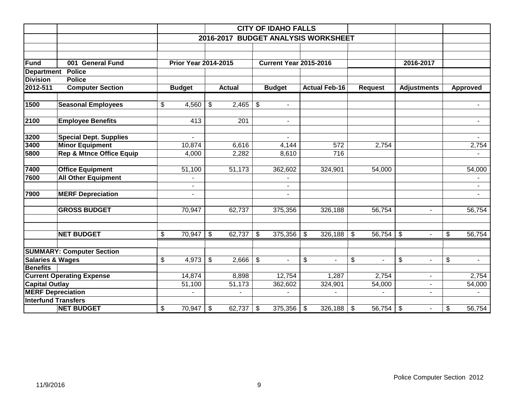|                             |                                     |                           |                             |                          |               |                           | <b>CITY OF IDAHO FALLS</b>    |                           |                                     |                |                         |                    |                         |                |
|-----------------------------|-------------------------------------|---------------------------|-----------------------------|--------------------------|---------------|---------------------------|-------------------------------|---------------------------|-------------------------------------|----------------|-------------------------|--------------------|-------------------------|----------------|
|                             |                                     |                           |                             |                          |               |                           |                               |                           | 2016-2017 BUDGET ANALYSIS WORKSHEET |                |                         |                    |                         |                |
|                             |                                     |                           |                             |                          |               |                           |                               |                           |                                     |                |                         |                    |                         |                |
| <b>Fund</b>                 | 001 General Fund                    |                           | <b>Prior Year 2014-2015</b> |                          |               |                           | <b>Current Year 2015-2016</b> |                           |                                     |                |                         | 2016-2017          |                         |                |
| <b>Department</b>           | <b>Police</b>                       |                           |                             |                          |               |                           |                               |                           |                                     |                |                         |                    |                         |                |
| <b>Division</b>             | <b>Police</b>                       |                           |                             |                          |               |                           |                               |                           |                                     |                |                         |                    |                         |                |
| 2012-511                    | <b>Computer Section</b>             |                           | <b>Budget</b>               |                          | <b>Actual</b> |                           | <b>Budget</b>                 |                           | <b>Actual Feb-16</b>                | <b>Request</b> |                         | <b>Adjustments</b> |                         | Approved       |
| 1500                        | <b>Seasonal Employees</b>           | $\boldsymbol{\mathsf{S}}$ | 4,560                       | \$                       | 2,465         | $\sqrt[6]{3}$             | $\blacksquare$                |                           |                                     |                |                         |                    |                         | $\blacksquare$ |
| 2100                        | <b>Employee Benefits</b>            |                           | 413                         |                          | 201           |                           | $\blacksquare$                |                           |                                     |                |                         |                    |                         | $\blacksquare$ |
| 3200                        | <b>Special Dept. Supplies</b>       |                           | $\mathbf{r}$                |                          |               |                           | $\blacksquare$                |                           |                                     |                |                         |                    |                         |                |
| 3400                        | <b>Minor Equipment</b>              |                           | 10,874                      |                          | 6,616         |                           | 4,144                         |                           | 572                                 | 2,754          |                         |                    |                         | 2,754          |
| 5800                        | <b>Rep &amp; Mtnce Office Equip</b> |                           | 4,000                       |                          | 2,282         |                           | 8,610                         |                           | $\overline{716}$                    |                |                         |                    |                         |                |
| 7400                        | <b>Office Equipment</b>             |                           | 51,100                      |                          | 51,173        |                           | 362,602                       |                           | 324,901                             | 54,000         |                         |                    |                         | 54,000         |
| 7600                        | <b>All Other Equipment</b>          |                           |                             |                          |               |                           |                               |                           |                                     |                |                         |                    |                         |                |
|                             |                                     |                           | $\sim$                      |                          |               |                           |                               |                           |                                     |                |                         |                    |                         |                |
| 7900                        | <b>MERF Depreciation</b>            |                           | $\blacksquare$              |                          |               |                           |                               |                           |                                     |                |                         |                    |                         |                |
|                             | <b>GROSS BUDGET</b>                 |                           | 70,947                      |                          | 62,737        |                           | 375,356                       |                           | 326,188                             | 56,754         |                         | $\sim$             |                         | 56,754         |
|                             | <b>NET BUDGET</b>                   | $\overline{\mathbf{S}}$   | 70,947                      | $\overline{\mathcal{S}}$ | 62,737        | ها                        | 375,356                       | $\boldsymbol{\mathsf{S}}$ | $326,188$ \$                        |                |                         |                    | $\overline{\mathbf{3}}$ | 56,754         |
|                             | <b>SUMMARY: Computer Section</b>    |                           |                             |                          |               |                           |                               |                           |                                     |                |                         |                    |                         |                |
| <b>Salaries &amp; Wages</b> |                                     | \$                        | 4,973                       | $\$\$                    | 2,666         | $\boldsymbol{\mathsf{S}}$ |                               | \$                        | $\blacksquare$                      | \$             | $\overline{\mathbf{S}}$ | ÷.                 | \$                      | $\blacksquare$ |
| <b>Benefits</b>             |                                     |                           |                             |                          |               |                           |                               |                           |                                     |                |                         |                    |                         |                |
|                             | <b>Current Operating Expense</b>    |                           | 14,874                      |                          | 8,898         |                           | 12,754                        |                           | 1,287                               | 2,754          |                         | $\blacksquare$     |                         | 2,754          |
| <b>Capital Outlay</b>       |                                     |                           | 51,100                      |                          | 51,173        |                           | 362,602                       |                           | 324,901                             | 54,000         |                         | $\blacksquare$     |                         | 54,000         |
|                             | <b>MERF Depreciation</b>            |                           |                             |                          |               |                           |                               |                           |                                     |                |                         | $\blacksquare$     |                         |                |
|                             | <b>Interfund Transfers</b>          |                           |                             |                          |               |                           |                               |                           |                                     |                |                         |                    |                         |                |
|                             | <b>NET BUDGET</b>                   | \$                        | $70,947$ \$                 |                          | 62,737        | $\sqrt{3}$                | 375,356                       | \$                        | $326,188$ \$                        |                |                         | $\sim$             | \$                      | 56,754         |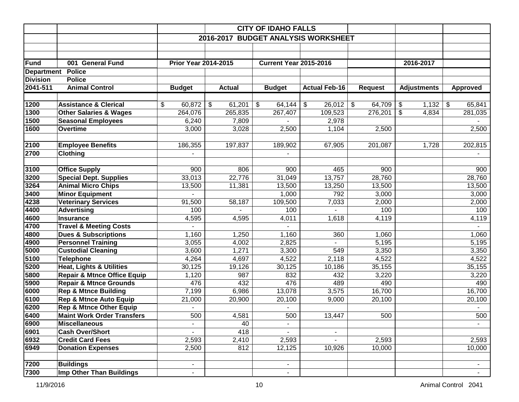|                   |                                        |                             |               | <b>CITY OF IDAHO FALLS</b>    |                                     |                                     |                    |                 |
|-------------------|----------------------------------------|-----------------------------|---------------|-------------------------------|-------------------------------------|-------------------------------------|--------------------|-----------------|
|                   |                                        |                             |               |                               | 2016-2017 BUDGET ANALYSIS WORKSHEET |                                     |                    |                 |
|                   |                                        |                             |               |                               |                                     |                                     |                    |                 |
|                   |                                        |                             |               |                               |                                     |                                     |                    |                 |
| Fund              | 001 General Fund                       | <b>Prior Year 2014-2015</b> |               | <b>Current Year 2015-2016</b> |                                     |                                     | 2016-2017          |                 |
| <b>Department</b> | <b>Police</b>                          |                             |               |                               |                                     |                                     |                    |                 |
| <b>Division</b>   | <b>Police</b>                          |                             |               |                               |                                     |                                     |                    |                 |
| 2041-511          | <b>Animal Control</b>                  | <b>Budget</b>               | <b>Actual</b> | <b>Budget</b>                 | <b>Actual Feb-16</b>                | <b>Request</b>                      | <b>Adjustments</b> | <b>Approved</b> |
|                   |                                        |                             |               |                               |                                     |                                     |                    |                 |
| 1200              | <b>Assistance &amp; Clerical</b>       | 60,872<br>\$                | \$<br>61,201  | \$<br>64,144                  | \$<br>26,012                        | $\boldsymbol{\mathsf{S}}$<br>64,709 | \$<br>1,132        | \$<br>65,841    |
| 1300              | <b>Other Salaries &amp; Wages</b>      | 264,076                     | 265,835       | 267,407                       | 109,523                             | 276,201                             | \$<br>4,834        | 281,035         |
| 1500              | <b>Seasonal Employees</b>              | 6,240                       | 7,809         |                               | 2,978                               |                                     |                    |                 |
| 1600              | Overtime                               | 3,000                       | 3,028         | 2,500                         | 1,104                               | 2,500                               |                    | 2,500           |
|                   |                                        |                             |               |                               |                                     |                                     |                    |                 |
| 2100              | <b>Employee Benefits</b>               | 186,355                     | 197,837       | 189,902                       | 67,905                              | 201,087                             | 1,728              | 202,815         |
| 2700              | <b>Clothing</b>                        |                             |               |                               |                                     |                                     |                    |                 |
|                   |                                        |                             |               |                               |                                     |                                     |                    |                 |
| 3100              | <b>Office Supply</b>                   | 900                         | 806           | 900                           | 465                                 | 900                                 |                    | 900             |
| 3200              | <b>Special Dept. Supplies</b>          | 33,013                      | 22,776        | 31,049                        | 13,757                              | 28,760                              |                    | 28,760          |
| 3264              | <b>Animal Micro Chips</b>              | 13,500                      | 11,381        | 13,500                        | 13,250                              | 13,500                              |                    | 13,500          |
| 3400              | <b>Minor Equipment</b>                 |                             |               | 1,000                         | 792                                 | 3,000                               |                    | 3,000           |
| 4238              | <b>Veterinary Services</b>             | 91,500                      | 58,187        | 109,500                       | 7,033                               | 2,000                               |                    | 2,000           |
| 4400              | <b>Advertising</b>                     | 100                         |               | 100                           |                                     | 100                                 |                    | 100             |
| 4600              | <b>Insurance</b>                       | 4,595                       | 4,595         | 4,011                         | 1,618                               | 4,119                               |                    | 4,119           |
| 4700              | <b>Travel &amp; Meeting Costs</b>      |                             |               |                               |                                     |                                     |                    |                 |
| 4800              | <b>Dues &amp; Subscriptions</b>        | 1,160                       | 1,250         | 1,160                         | 360                                 | 1,060                               |                    | 1,060           |
| 4900              | <b>Personnel Training</b>              | 3,055                       | 4,002         | 2,825                         |                                     | 5,195                               |                    | 5,195           |
| 5000              | <b>Custodial Cleaning</b>              | 3,600                       | 1,271         | 3,300                         | 549                                 | 3,350                               |                    | 3,350           |
| 5100              | <b>Telephone</b>                       | 4,264                       | 4,697         | 4,522                         | 2,118                               | 4,522                               |                    | 4,522           |
| 5200              | <b>Heat, Lights &amp; Utilities</b>    | 30,125                      | 19,126        | 30,125                        | 10,186                              | 35,155                              |                    | 35,155          |
| 5800              | <b>Repair &amp; Mtnce Office Equip</b> | 1,120                       | 987           | 832                           | 432                                 | 3,220                               |                    | 3,220           |
| 5900              | <b>Repair &amp; Mtnce Grounds</b>      | 476                         | 432           | 476                           | 489                                 | 490                                 |                    | 490             |
| 6000              | <b>Rep &amp; Mtnce Building</b>        | 7,199                       | 6,986         | 13,078                        | 3,575                               | 16,700                              |                    | 16,700          |
| 6100              | <b>Rep &amp; Mtnce Auto Equip</b>      | 21,000                      | 20,900        | 20,100                        | 9,000                               | 20,100                              |                    | 20,100          |
| 6200              | <b>Rep &amp; Mtnce Other Equip</b>     |                             |               |                               |                                     |                                     |                    |                 |
| 6400              | <b>Maint Work Order Transfers</b>      | 500                         | 4,581         | 500                           | 13,447                              | 500                                 |                    | 500             |
| 6900              | <b>Miscellaneous</b>                   |                             | 40            | $\overline{\phantom{a}}$      |                                     |                                     |                    |                 |
| 6901              | <b>Cash Over/Short</b>                 |                             | 418           |                               |                                     |                                     |                    |                 |
| 6932              | <b>Credit Card Fees</b>                | 2,593                       | 2,410         | 2,593                         | $\overline{\phantom{a}}$            | 2,593                               |                    | 2,593           |
| 6949              | <b>Donation Expenses</b>               | 2,500                       | 812           | 12,125                        | 10,926                              | 10,000                              |                    | 10,000          |
|                   |                                        |                             |               |                               |                                     |                                     |                    |                 |
| 7200              | <b>Buildings</b>                       |                             |               | $\overline{\phantom{0}}$      |                                     |                                     |                    |                 |
| 7300              | <b>Imp Other Than Buildings</b>        |                             |               | $\blacksquare$                |                                     |                                     |                    |                 |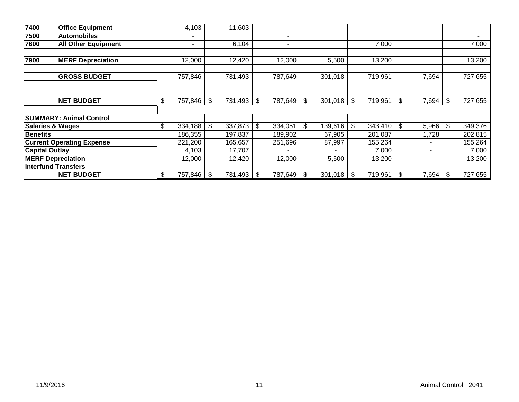| 7400                        | <b>Office Equipment</b>          | 4,103                    |                | 11,603  |     | -       |            |              |      |         |             |                |         |
|-----------------------------|----------------------------------|--------------------------|----------------|---------|-----|---------|------------|--------------|------|---------|-------------|----------------|---------|
| 7500                        | <b>Automobiles</b>               | $\overline{\phantom{0}}$ |                |         |     | ۰.      |            |              |      |         |             |                |         |
| 7600                        | <b>All Other Equipment</b>       | ٠                        |                | 6,104   |     | ٠       |            |              |      | 7,000   |             |                | 7,000   |
| 7900                        | <b>MERF Depreciation</b>         | 12,000                   |                | 12,420  |     | 12,000  |            | 5,500        |      | 13,200  |             |                | 13,200  |
|                             | <b>GROSS BUDGET</b>              | 757,846                  |                | 731,493 |     | 787,649 |            | 301,018      |      | 719,961 | 7,694       |                | 727,655 |
|                             |                                  |                          |                |         |     |         |            |              |      |         |             |                |         |
|                             | <b>NET BUDGET</b>                | \$<br>757,846            | \$             | 731,493 | \$  | 787,649 | \$         | 301,018      | l \$ | 719,961 | \$<br>7,694 | \$             | 727,655 |
|                             | <b>SUMMARY: Animal Control</b>   |                          |                |         |     |         |            |              |      |         |             |                |         |
| <b>Salaries &amp; Wages</b> |                                  | \$<br>334,188            | $\mathfrak{S}$ | 337,873 | \$  | 334,051 | \$         | 139,616      | \$   | 343,410 | \$<br>5,966 | $\mathfrak{S}$ | 349,376 |
| <b>Benefits</b>             |                                  | 186,355                  |                | 197,837 |     | 189,902 |            | 67,905       |      | 201,087 | 1,728       |                | 202,815 |
|                             | <b>Current Operating Expense</b> | 221,200                  |                | 165,657 |     | 251,696 |            | 87,997       |      | 155,264 |             |                | 155,264 |
| <b>Capital Outlay</b>       |                                  | 4,103                    |                | 17,707  |     |         |            |              |      | 7,000   |             |                | 7,000   |
|                             | <b>MERF Depreciation</b>         | 12,000                   |                | 12,420  |     | 12,000  |            | 5,500        |      | 13,200  | ۰           |                | 13,200  |
|                             | <b>Interfund Transfers</b>       |                          |                |         |     |         |            |              |      |         |             |                |         |
|                             | <b>NET BUDGET</b>                | \$<br>757,846 \$         |                | 731,493 | -\$ | 787,649 | $\sqrt{3}$ | $301,018$ \$ |      | 719,961 | \$<br>7,694 | -\$            | 727,655 |